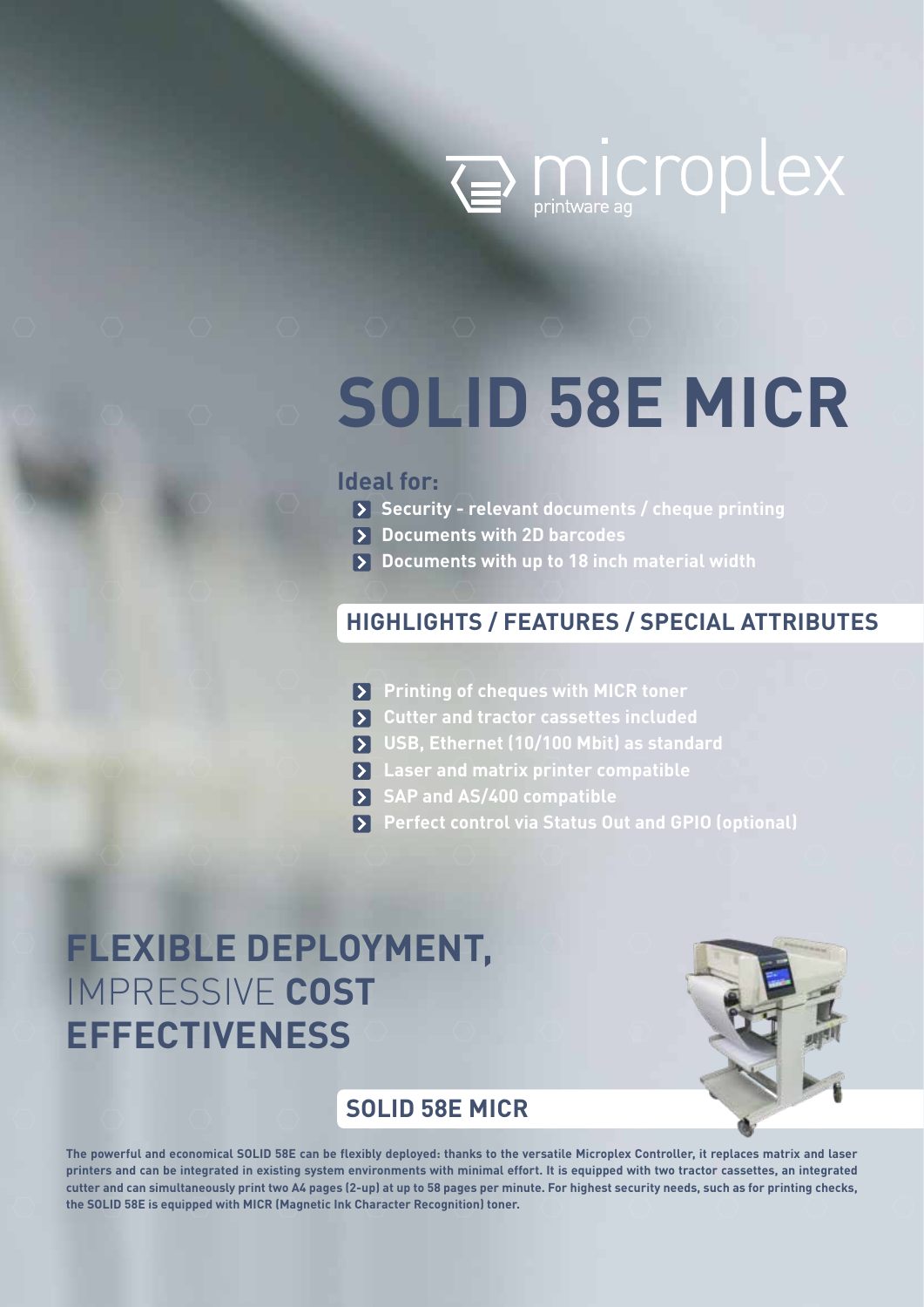

# **SOLID 58E MICR**

# **Ideal for:**

- **Security relevant documents / cheque printing**
- $\triangleright$  Documents with 2D barcodes
- **Documents with up to 18 inch material width**

# **HIGHLIGHTS / FEATURES / SPECIAL ATTRIBUTES**

- **Printing of cheques with MICR toner**
- **Cutter and tractor cassettes included**
- **USB, Ethernet (10/100 Mbit) as standard**
- **Laser and matrix printer compatible**
- **SAP and AS/400 compatible**
- **Perfect control via Status Out and GPIO (optional)**

# **FLEXIBLE DEPLOYMENT,** IMPRESSIVE **COST EFFECTIVENESS**



# **SOLID 58E MICR**

**The powerful and economical SOLID 58E can be flexibly deployed: thanks to the versatile Microplex Controller, it replaces matrix and laser printers and can be integrated in existing system environments with minimal effort. It is equipped with two tractor cassettes, an integrated cutter and can simultaneously print two A4 pages (2-up) at up to 58 pages per minute. For highest security needs, such as for printing checks, the SOLID 58E is equipped with MICR (Magnetic Ink Character Recognition) toner.**